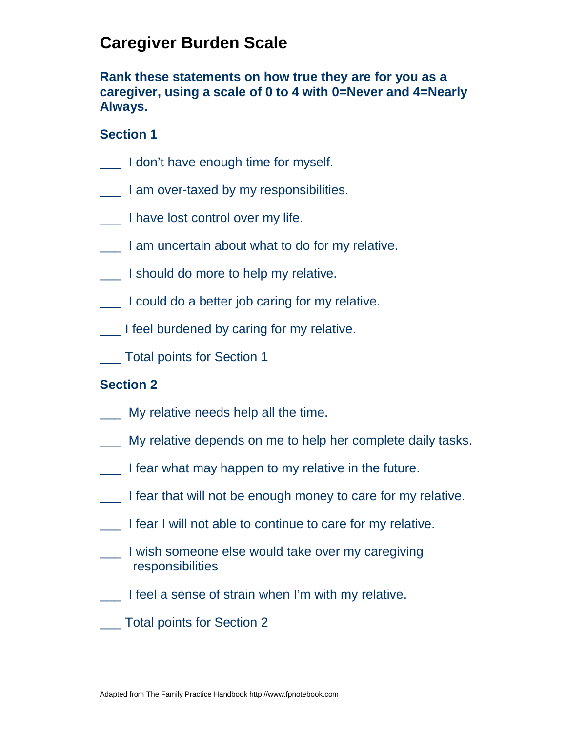## **Caregiver Burden Scale**

**Rank these statements on how true they are for you as a caregiver, using a scale of 0 to 4 with 0=Never and 4=Nearly Always.**

### **Section 1**

- I don't have enough time for myself.
- **The I am over-taxed by my responsibilities.**
- \_\_\_ I have lost control over my life.
- I am uncertain about what to do for my relative.
- \_\_\_ I should do more to help my relative.
- \_\_\_ I could do a better job caring for my relative.
- \_\_\_ I feel burdened by caring for my relative.
- \_\_\_ Total points for Section 1

#### **Section 2**

- \_\_\_ My relative needs help all the time.
- \_\_\_ My relative depends on me to help her complete daily tasks.
- \_\_\_ I fear what may happen to my relative in the future.
- \_\_\_ I fear that will not be enough money to care for my relative.
- I fear I will not able to continue to care for my relative.
- \_\_\_ I wish someone else would take over my caregiving responsibilities
- I feel a sense of strain when I'm with my relative.
- \_\_\_ Total points for Section 2